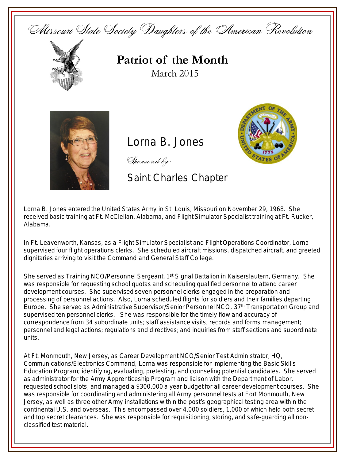Missouri State Society Daughters of the American Revolution



**Patriot of the Month** March 2015



Lorna B. Jones



Sponsored by:

## Saint Charles Chapter

Lorna B. Jones entered the United States Army in St. Louis, Missouri on November 29, 1968. She received basic training at Ft. McClellan, Alabama, and Flight Simulator Specialist training at Ft. Rucker, Alabama.

In Ft. Leavenworth, Kansas, as a Flight Simulator Specialist and Flight Operations Coordinator, Lorna supervised four flight operations clerks. She scheduled aircraft missions, dispatched aircraft, and greeted dignitaries arriving to visit the Command and General Staff College.

She served as Training NCO/Personnel Sergeant, 1<sup>st</sup> Signal Battalion in Kaiserslautern, Germany. She was responsible for requesting school quotas and scheduling qualified personnel to attend career development courses. She supervised seven personnel clerks engaged in the preparation and processing of personnel actions. Also, Lorna scheduled flights for soldiers and their families departing Europe. She served as Administrative Supervisor/Senior Personnel NCO, 37<sup>th</sup> Transportation Group and supervised ten personnel clerks. She was responsible for the timely flow and accuracy of correspondence from 34 subordinate units; staff assistance visits; records and forms management; personnel and legal actions; regulations and directives; and inquiries from staff sections and subordinate units.

At Ft. Monmouth, New Jersey, as Career Development NCO/Senior Test Administrator, HQ, Communications/Electronics Command, Lorna was responsible for implementing the Basic Skills Education Program; identifying, evaluating, pretesting, and counseling potential candidates. She served as administrator for the Army Apprenticeship Program and liaison with the Department of Labor, requested school slots, and managed a \$300,000 a year budget for all career development courses. She was responsible for coordinating and administering all Army personnel tests at Fort Monmouth, New Jersey, as well as three other Army installations within the post's geographical testing area within the continental U.S. and overseas. This encompassed over 4,000 soldiers, 1,000 of which held both secret and top secret clearances. She was responsible for requisitioning, storing, and safe-guarding all nonclassified test material.